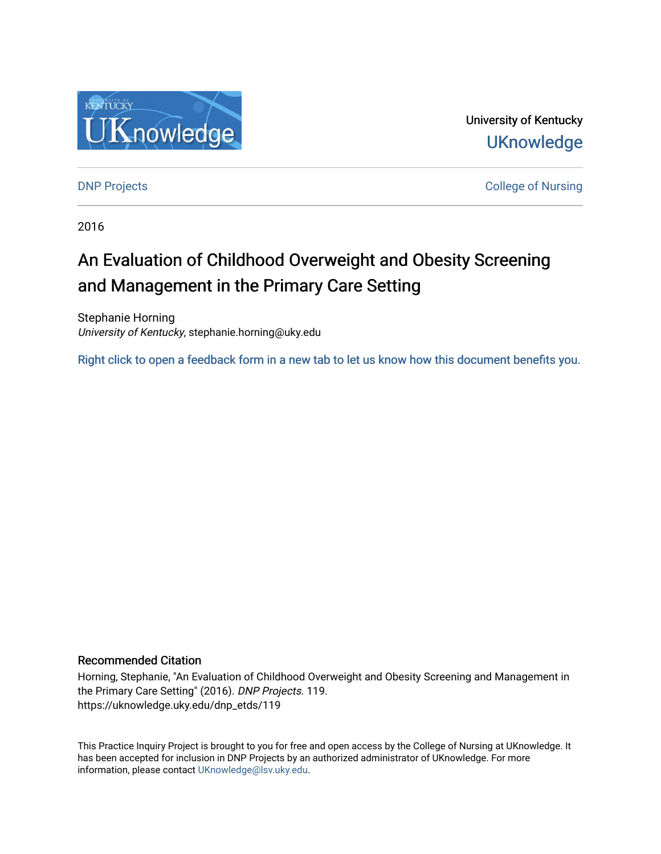

University of Kentucky **UKnowledge** 

**DNP Projects** College of Nursing

2016

# An Evaluation of Childhood Overweight and Obesity Screening and Management in the Primary Care Setting

Stephanie Horning University of Kentucky, stephanie.horning@uky.edu

[Right click to open a feedback form in a new tab to let us know how this document benefits you.](https://uky.az1.qualtrics.com/jfe/form/SV_9mq8fx2GnONRfz7)

### Recommended Citation

Horning, Stephanie, "An Evaluation of Childhood Overweight and Obesity Screening and Management in the Primary Care Setting" (2016). DNP Projects. 119. https://uknowledge.uky.edu/dnp\_etds/119

This Practice Inquiry Project is brought to you for free and open access by the College of Nursing at UKnowledge. It has been accepted for inclusion in DNP Projects by an authorized administrator of UKnowledge. For more information, please contact [UKnowledge@lsv.uky.edu](mailto:UKnowledge@lsv.uky.edu).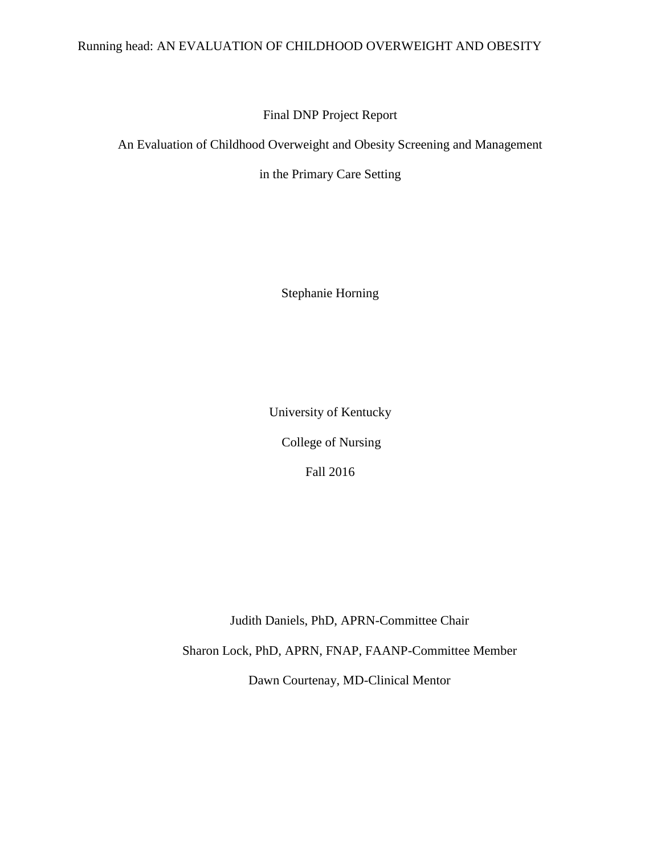### Running head: AN EVALUATION OF CHILDHOOD OVERWEIGHT AND OBESITY

### Final DNP Project Report

An Evaluation of Childhood Overweight and Obesity Screening and Management

in the Primary Care Setting

Stephanie Horning

University of Kentucky College of Nursing Fall 2016

Judith Daniels, PhD, APRN-Committee Chair

Sharon Lock, PhD, APRN, FNAP, FAANP-Committee Member

Dawn Courtenay, MD-Clinical Mentor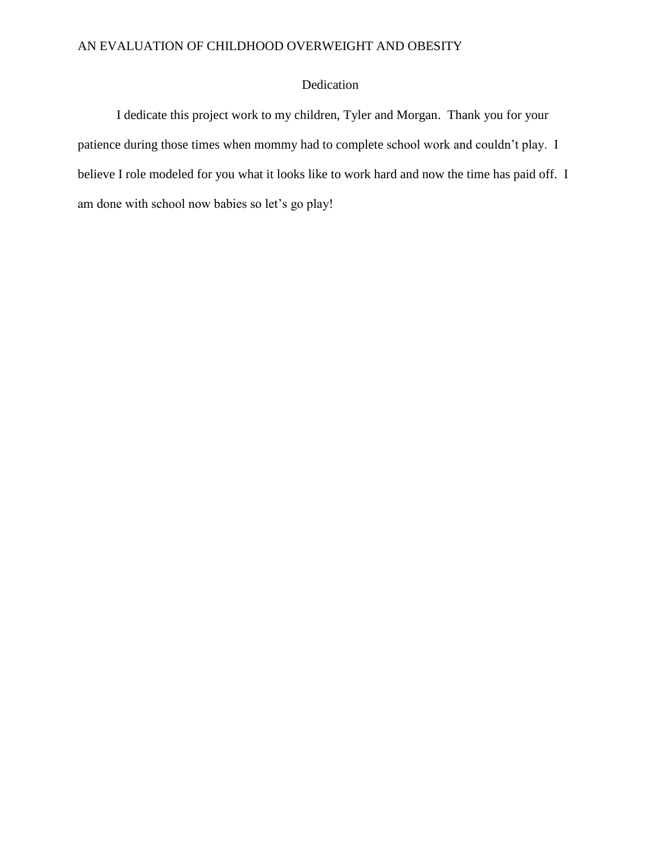### Dedication

I dedicate this project work to my children, Tyler and Morgan. Thank you for your patience during those times when mommy had to complete school work and couldn't play. I believe I role modeled for you what it looks like to work hard and now the time has paid off. I am done with school now babies so let's go play!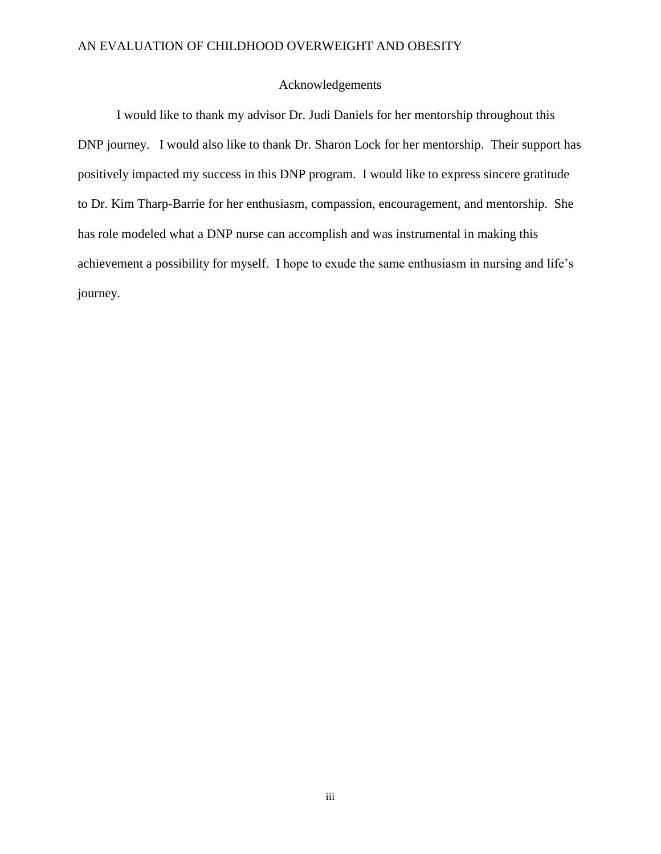#### Acknowledgements

I would like to thank my advisor Dr. Judi Daniels for her mentorship throughout this DNP journey. I would also like to thank Dr. Sharon Lock for her mentorship. Their support has positively impacted my success in this DNP program. I would like to express sincere gratitude to Dr. Kim Tharp-Barrie for her enthusiasm, compassion, encouragement, and mentorship. She has role modeled what a DNP nurse can accomplish and was instrumental in making this achievement a possibility for myself. I hope to exude the same enthusiasm in nursing and life's journey.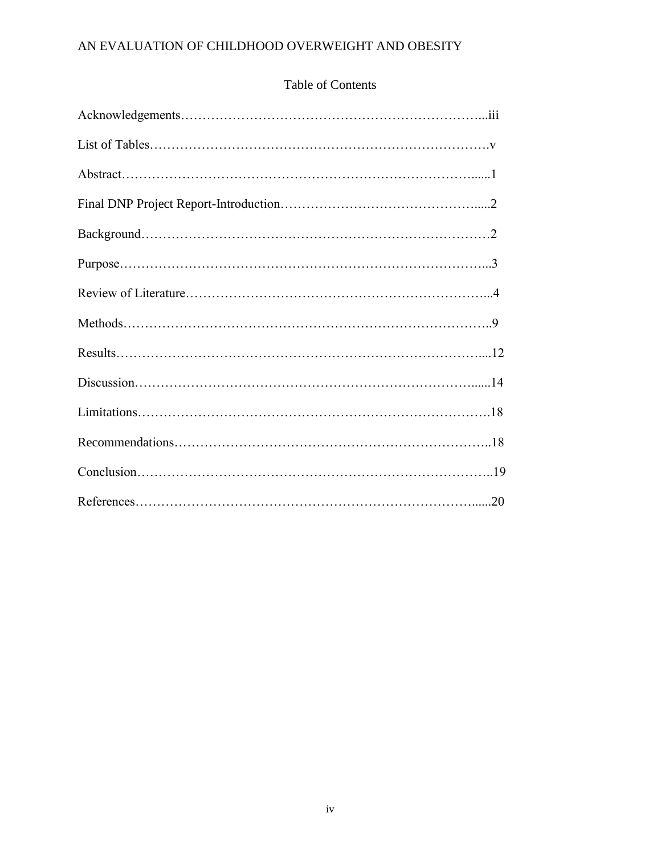## Table of Contents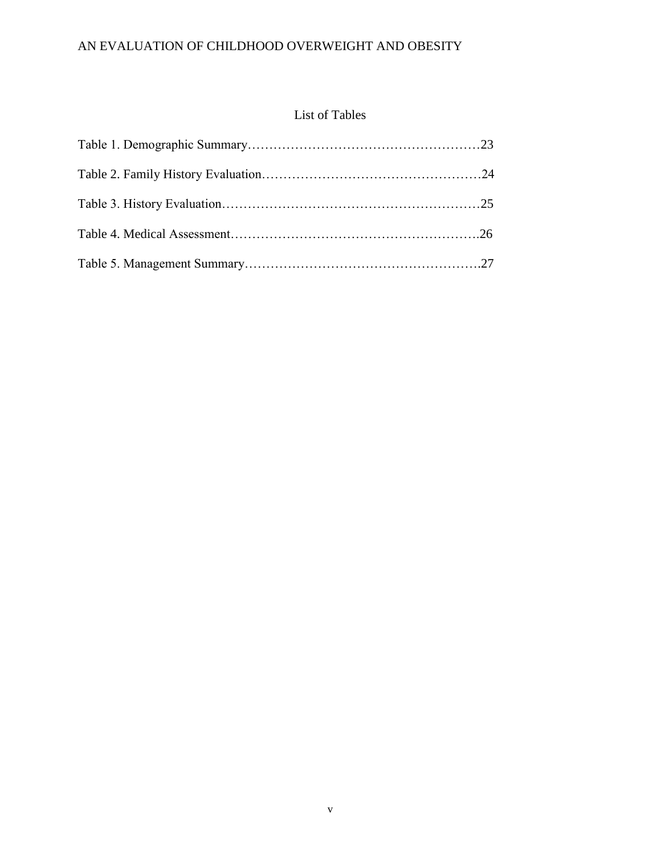# List of Tables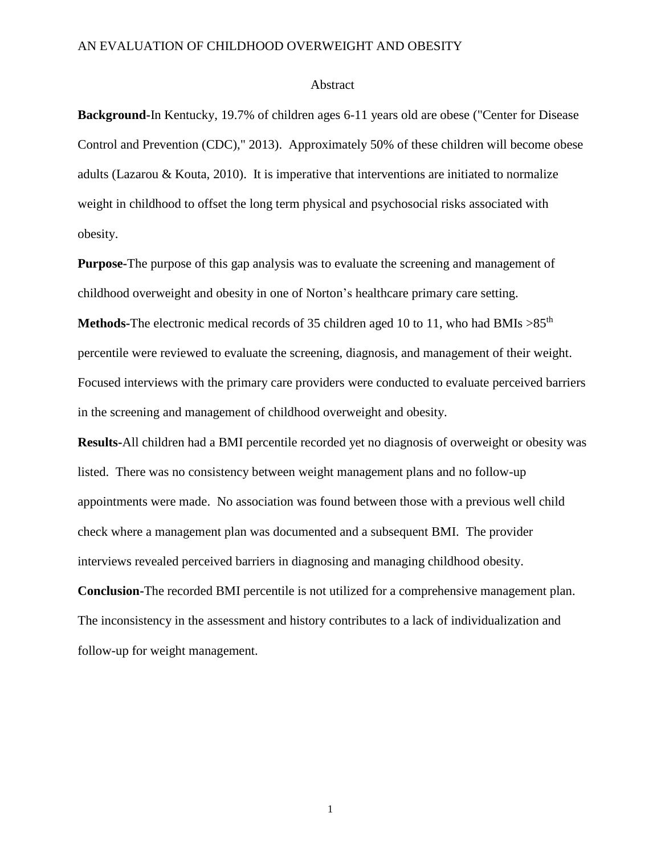#### Abstract

**Background-**In Kentucky, 19.7% of children ages 6-11 years old are obese ("Center for Disease Control and Prevention (CDC)," 2013). Approximately 50% of these children will become obese adults (Lazarou  $\&$  Kouta, 2010). It is imperative that interventions are initiated to normalize weight in childhood to offset the long term physical and psychosocial risks associated with obesity.

**Purpose-**The purpose of this gap analysis was to evaluate the screening and management of childhood overweight and obesity in one of Norton's healthcare primary care setting.

**Methods-**The electronic medical records of 35 children aged 10 to 11, who had BMIs  $>85<sup>th</sup>$ percentile were reviewed to evaluate the screening, diagnosis, and management of their weight. Focused interviews with the primary care providers were conducted to evaluate perceived barriers in the screening and management of childhood overweight and obesity.

**Results-**All children had a BMI percentile recorded yet no diagnosis of overweight or obesity was listed. There was no consistency between weight management plans and no follow-up appointments were made. No association was found between those with a previous well child check where a management plan was documented and a subsequent BMI. The provider interviews revealed perceived barriers in diagnosing and managing childhood obesity.

**Conclusion-**The recorded BMI percentile is not utilized for a comprehensive management plan. The inconsistency in the assessment and history contributes to a lack of individualization and follow-up for weight management.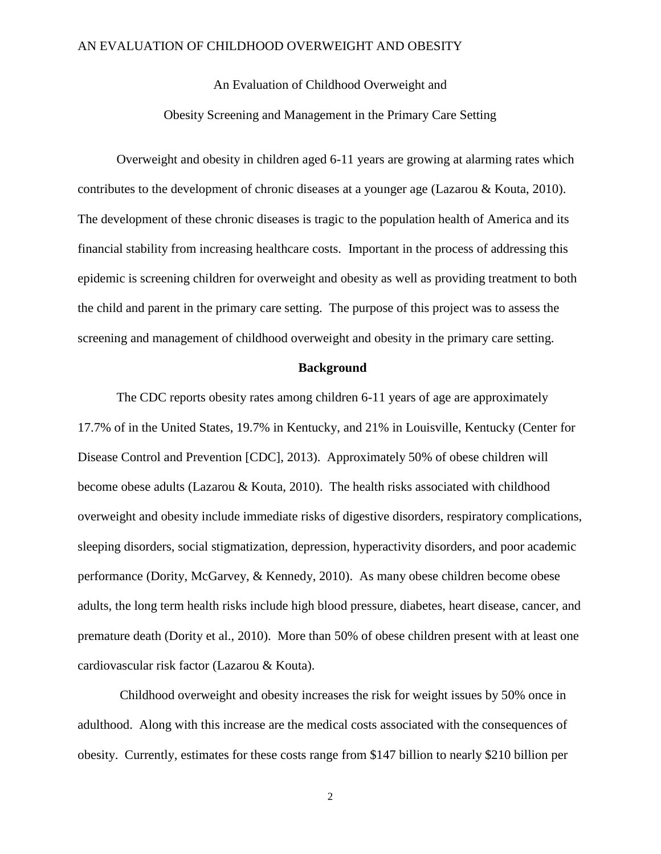An Evaluation of Childhood Overweight and

Obesity Screening and Management in the Primary Care Setting

Overweight and obesity in children aged 6-11 years are growing at alarming rates which contributes to the development of chronic diseases at a younger age (Lazarou & Kouta, 2010). The development of these chronic diseases is tragic to the population health of America and its financial stability from increasing healthcare costs. Important in the process of addressing this epidemic is screening children for overweight and obesity as well as providing treatment to both the child and parent in the primary care setting. The purpose of this project was to assess the screening and management of childhood overweight and obesity in the primary care setting.

#### **Background**

The CDC reports obesity rates among children 6-11 years of age are approximately 17.7% of in the United States, 19.7% in Kentucky, and 21% in Louisville, Kentucky (Center for Disease Control and Prevention [CDC], 2013). Approximately 50% of obese children will become obese adults (Lazarou & Kouta, 2010). The health risks associated with childhood overweight and obesity include immediate risks of digestive disorders, respiratory complications, sleeping disorders, social stigmatization, depression, hyperactivity disorders, and poor academic performance (Dority, McGarvey, & Kennedy, 2010). As many obese children become obese adults, the long term health risks include high blood pressure, diabetes, heart disease, cancer, and premature death (Dority et al., 2010). More than 50% of obese children present with at least one cardiovascular risk factor (Lazarou & Kouta).

Childhood overweight and obesity increases the risk for weight issues by 50% once in adulthood. Along with this increase are the medical costs associated with the consequences of obesity. Currently, estimates for these costs range from \$147 billion to nearly \$210 billion per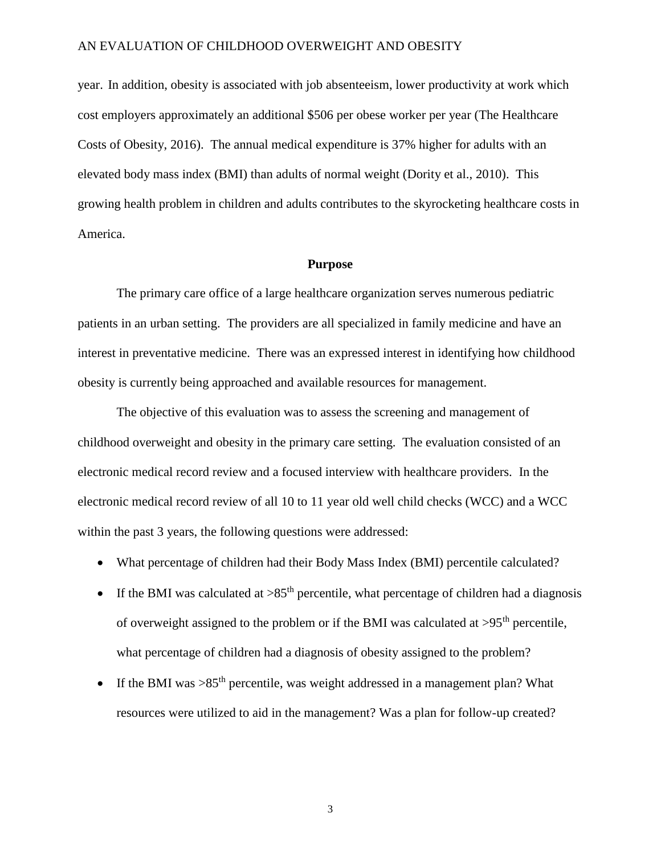year. In addition, obesity is associated with job absenteeism, lower productivity at work which cost employers approximately an additional \$506 per obese worker per year (The Healthcare Costs of Obesity, 2016). The annual medical expenditure is 37% higher for adults with an elevated body mass index (BMI) than adults of normal weight (Dority et al., 2010). This growing health problem in children and adults contributes to the skyrocketing healthcare costs in America.

#### **Purpose**

The primary care office of a large healthcare organization serves numerous pediatric patients in an urban setting. The providers are all specialized in family medicine and have an interest in preventative medicine. There was an expressed interest in identifying how childhood obesity is currently being approached and available resources for management.

The objective of this evaluation was to assess the screening and management of childhood overweight and obesity in the primary care setting. The evaluation consisted of an electronic medical record review and a focused interview with healthcare providers. In the electronic medical record review of all 10 to 11 year old well child checks (WCC) and a WCC within the past 3 years, the following questions were addressed:

- What percentage of children had their Body Mass Index (BMI) percentile calculated?
- If the BMI was calculated at  $>85<sup>th</sup>$  percentile, what percentage of children had a diagnosis of overweight assigned to the problem or if the BMI was calculated at  $>95<sup>th</sup>$  percentile, what percentage of children had a diagnosis of obesity assigned to the problem?
- If the BMI was  $>85<sup>th</sup>$  percentile, was weight addressed in a management plan? What resources were utilized to aid in the management? Was a plan for follow-up created?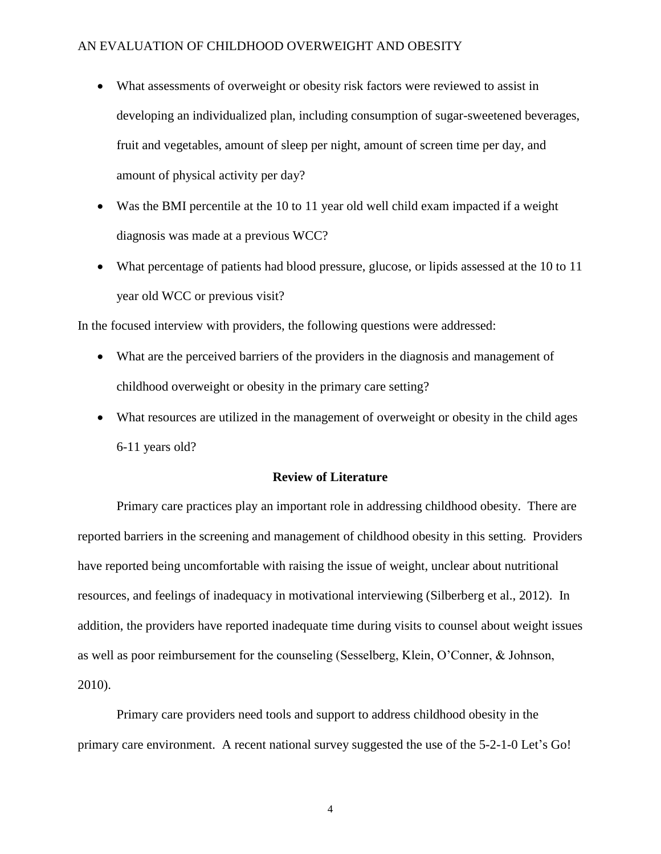- What assessments of overweight or obesity risk factors were reviewed to assist in developing an individualized plan, including consumption of sugar-sweetened beverages, fruit and vegetables, amount of sleep per night, amount of screen time per day, and amount of physical activity per day?
- Was the BMI percentile at the 10 to 11 year old well child exam impacted if a weight diagnosis was made at a previous WCC?
- What percentage of patients had blood pressure, glucose, or lipids assessed at the 10 to 11 year old WCC or previous visit?

In the focused interview with providers, the following questions were addressed:

- What are the perceived barriers of the providers in the diagnosis and management of childhood overweight or obesity in the primary care setting?
- What resources are utilized in the management of overweight or obesity in the child ages 6-11 years old?

### **Review of Literature**

Primary care practices play an important role in addressing childhood obesity. There are reported barriers in the screening and management of childhood obesity in this setting. Providers have reported being uncomfortable with raising the issue of weight, unclear about nutritional resources, and feelings of inadequacy in motivational interviewing (Silberberg et al., 2012). In addition, the providers have reported inadequate time during visits to counsel about weight issues as well as poor reimbursement for the counseling (Sesselberg, Klein, O'Conner, & Johnson, 2010).

Primary care providers need tools and support to address childhood obesity in the primary care environment. A recent national survey suggested the use of the 5-2-1-0 Let's Go!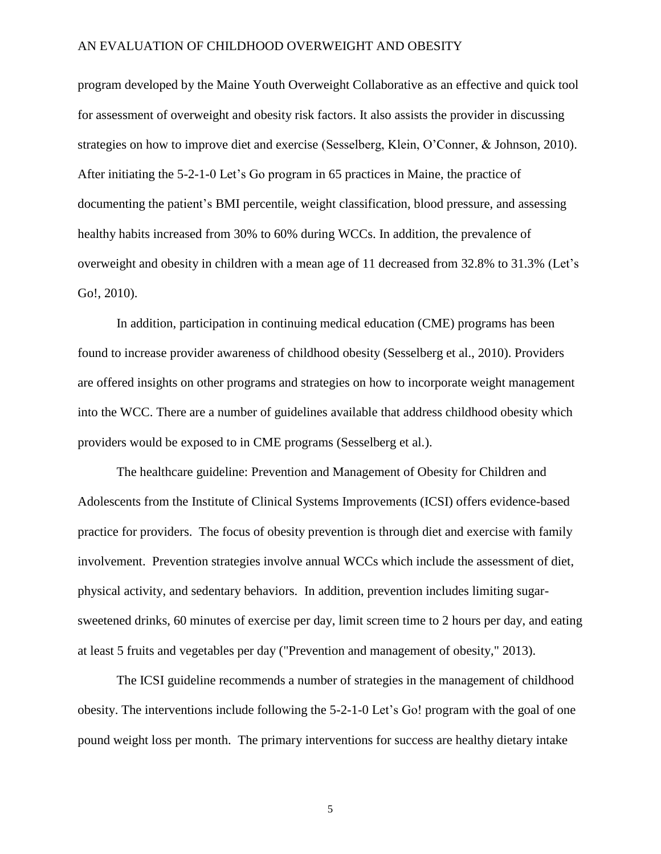program developed by the Maine Youth Overweight Collaborative as an effective and quick tool for assessment of overweight and obesity risk factors. It also assists the provider in discussing strategies on how to improve diet and exercise (Sesselberg, Klein, O'Conner, & Johnson, 2010). After initiating the 5-2-1-0 Let's Go program in 65 practices in Maine, the practice of documenting the patient's BMI percentile, weight classification, blood pressure, and assessing healthy habits increased from 30% to 60% during WCCs. In addition, the prevalence of overweight and obesity in children with a mean age of 11 decreased from 32.8% to 31.3% (Let's Go!, 2010).

In addition, participation in continuing medical education (CME) programs has been found to increase provider awareness of childhood obesity (Sesselberg et al., 2010). Providers are offered insights on other programs and strategies on how to incorporate weight management into the WCC. There are a number of guidelines available that address childhood obesity which providers would be exposed to in CME programs (Sesselberg et al.).

The healthcare guideline: Prevention and Management of Obesity for Children and Adolescents from the Institute of Clinical Systems Improvements (ICSI) offers evidence-based practice for providers. The focus of obesity prevention is through diet and exercise with family involvement. Prevention strategies involve annual WCCs which include the assessment of diet, physical activity, and sedentary behaviors. In addition, prevention includes limiting sugarsweetened drinks, 60 minutes of exercise per day, limit screen time to 2 hours per day, and eating at least 5 fruits and vegetables per day ("Prevention and management of obesity," 2013).

The ICSI guideline recommends a number of strategies in the management of childhood obesity. The interventions include following the 5-2-1-0 Let's Go! program with the goal of one pound weight loss per month. The primary interventions for success are healthy dietary intake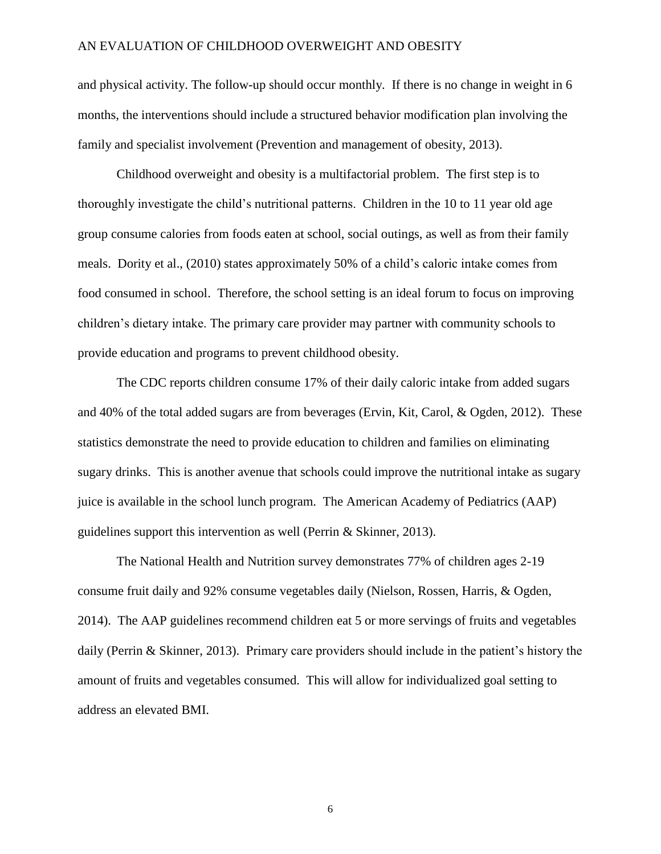and physical activity. The follow-up should occur monthly. If there is no change in weight in 6 months, the interventions should include a structured behavior modification plan involving the family and specialist involvement (Prevention and management of obesity, 2013).

Childhood overweight and obesity is a multifactorial problem. The first step is to thoroughly investigate the child's nutritional patterns. Children in the 10 to 11 year old age group consume calories from foods eaten at school, social outings, as well as from their family meals. Dority et al., (2010) states approximately 50% of a child's caloric intake comes from food consumed in school. Therefore, the school setting is an ideal forum to focus on improving children's dietary intake. The primary care provider may partner with community schools to provide education and programs to prevent childhood obesity.

The CDC reports children consume 17% of their daily caloric intake from added sugars and 40% of the total added sugars are from beverages (Ervin, Kit, Carol, & Ogden, 2012). These statistics demonstrate the need to provide education to children and families on eliminating sugary drinks. This is another avenue that schools could improve the nutritional intake as sugary juice is available in the school lunch program. The American Academy of Pediatrics (AAP) guidelines support this intervention as well (Perrin & Skinner, 2013).

The National Health and Nutrition survey demonstrates 77% of children ages 2-19 consume fruit daily and 92% consume vegetables daily (Nielson, Rossen, Harris, & Ogden, 2014). The AAP guidelines recommend children eat 5 or more servings of fruits and vegetables daily (Perrin & Skinner, 2013). Primary care providers should include in the patient's history the amount of fruits and vegetables consumed. This will allow for individualized goal setting to address an elevated BMI.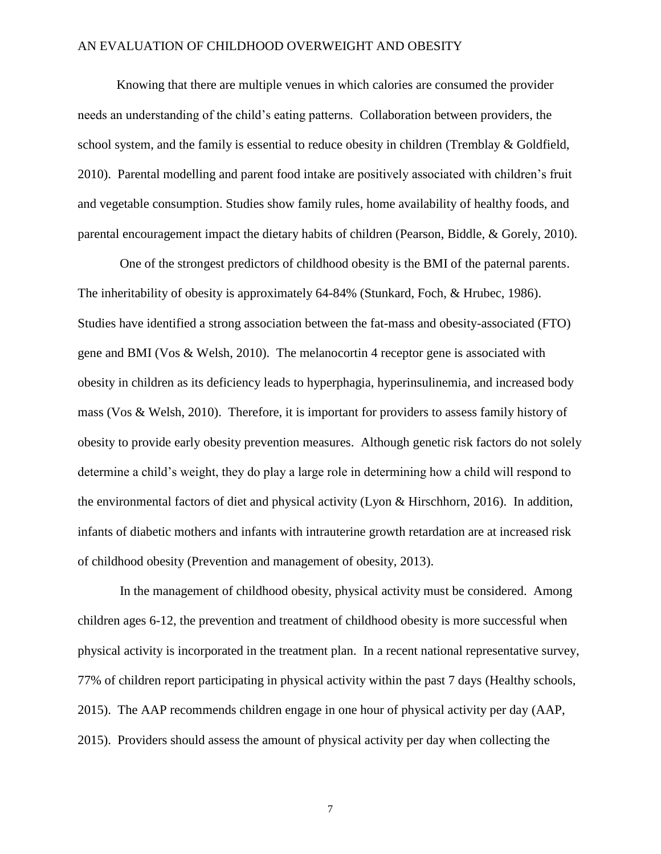Knowing that there are multiple venues in which calories are consumed the provider needs an understanding of the child's eating patterns. Collaboration between providers, the school system, and the family is essential to reduce obesity in children (Tremblay & Goldfield, 2010). Parental modelling and parent food intake are positively associated with children's fruit and vegetable consumption. Studies show family rules, home availability of healthy foods, and parental encouragement impact the dietary habits of children (Pearson, Biddle, & Gorely, 2010).

One of the strongest predictors of childhood obesity is the BMI of the paternal parents. The inheritability of obesity is approximately 64-84% (Stunkard, Foch, & Hrubec, 1986). Studies have identified a strong association between the fat-mass and obesity-associated (FTO) gene and BMI (Vos & Welsh, 2010). The melanocortin 4 receptor gene is associated with obesity in children as its deficiency leads to hyperphagia, hyperinsulinemia, and increased body mass (Vos & Welsh, 2010). Therefore, it is important for providers to assess family history of obesity to provide early obesity prevention measures. Although genetic risk factors do not solely determine a child's weight, they do play a large role in determining how a child will respond to the environmental factors of diet and physical activity (Lyon & Hirschhorn, 2016). In addition, infants of diabetic mothers and infants with intrauterine growth retardation are at increased risk of childhood obesity (Prevention and management of obesity, 2013).

In the management of childhood obesity, physical activity must be considered. Among children ages 6-12, the prevention and treatment of childhood obesity is more successful when physical activity is incorporated in the treatment plan. In a recent national representative survey, 77% of children report participating in physical activity within the past 7 days (Healthy schools, 2015). The AAP recommends children engage in one hour of physical activity per day (AAP, 2015). Providers should assess the amount of physical activity per day when collecting the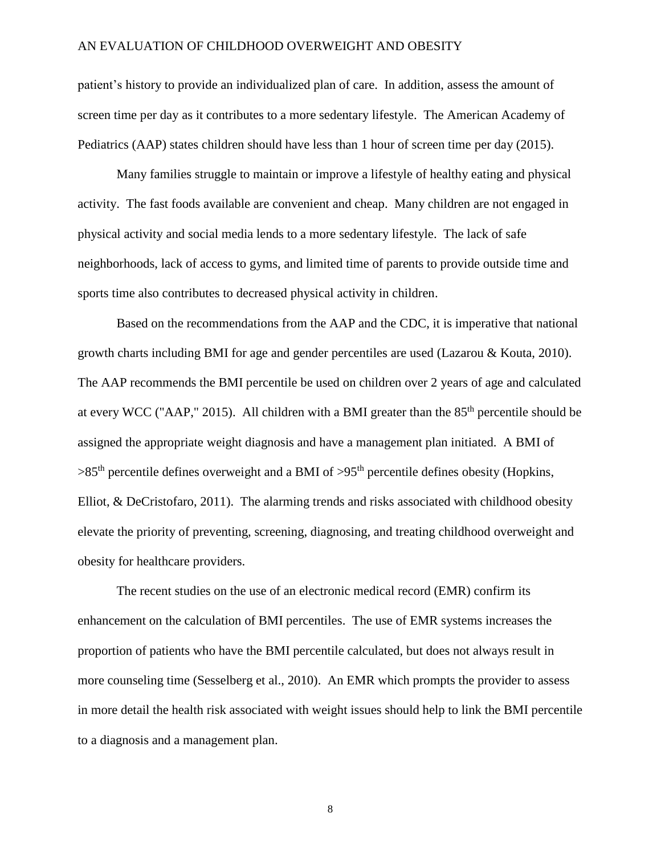patient's history to provide an individualized plan of care. In addition, assess the amount of screen time per day as it contributes to a more sedentary lifestyle. The American Academy of Pediatrics (AAP) states children should have less than 1 hour of screen time per day (2015).

Many families struggle to maintain or improve a lifestyle of healthy eating and physical activity. The fast foods available are convenient and cheap. Many children are not engaged in physical activity and social media lends to a more sedentary lifestyle. The lack of safe neighborhoods, lack of access to gyms, and limited time of parents to provide outside time and sports time also contributes to decreased physical activity in children.

Based on the recommendations from the AAP and the CDC, it is imperative that national growth charts including BMI for age and gender percentiles are used (Lazarou & Kouta, 2010). The AAP recommends the BMI percentile be used on children over 2 years of age and calculated at every WCC ("AAP," 2015). All children with a BMI greater than the  $85<sup>th</sup>$  percentile should be assigned the appropriate weight diagnosis and have a management plan initiated. A BMI of  $>85<sup>th</sup>$  percentile defines overweight and a BMI of  $>95<sup>th</sup>$  percentile defines obesity (Hopkins, Elliot,  $\&$  DeCristofaro, 2011). The alarming trends and risks associated with childhood obesity elevate the priority of preventing, screening, diagnosing, and treating childhood overweight and obesity for healthcare providers.

The recent studies on the use of an electronic medical record (EMR) confirm its enhancement on the calculation of BMI percentiles. The use of EMR systems increases the proportion of patients who have the BMI percentile calculated, but does not always result in more counseling time (Sesselberg et al., 2010). An EMR which prompts the provider to assess in more detail the health risk associated with weight issues should help to link the BMI percentile to a diagnosis and a management plan.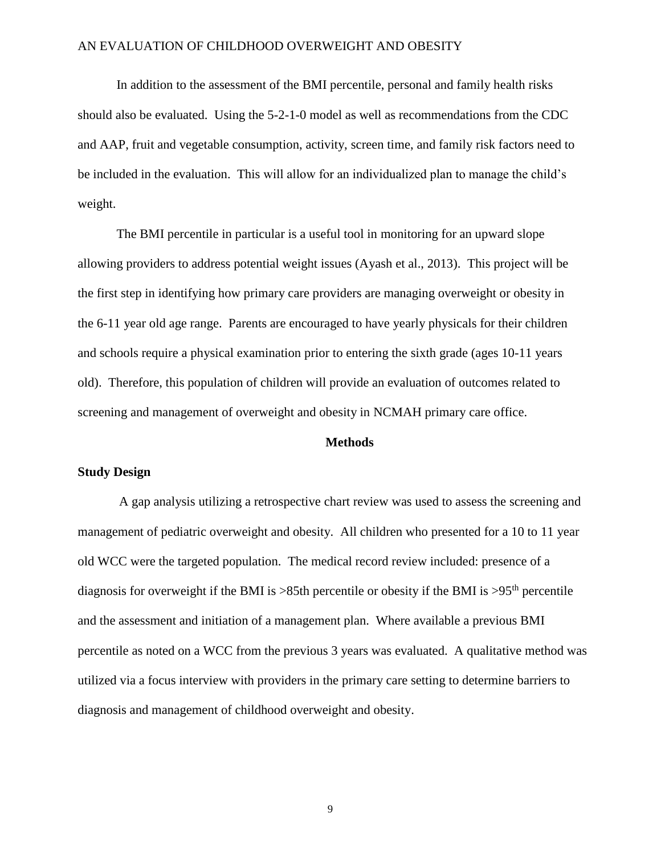In addition to the assessment of the BMI percentile, personal and family health risks should also be evaluated. Using the 5-2-1-0 model as well as recommendations from the CDC and AAP, fruit and vegetable consumption, activity, screen time, and family risk factors need to be included in the evaluation. This will allow for an individualized plan to manage the child's weight.

The BMI percentile in particular is a useful tool in monitoring for an upward slope allowing providers to address potential weight issues (Ayash et al., 2013). This project will be the first step in identifying how primary care providers are managing overweight or obesity in the 6-11 year old age range. Parents are encouraged to have yearly physicals for their children and schools require a physical examination prior to entering the sixth grade (ages 10-11 years old). Therefore, this population of children will provide an evaluation of outcomes related to screening and management of overweight and obesity in NCMAH primary care office.

#### **Methods**

#### **Study Design**

A gap analysis utilizing a retrospective chart review was used to assess the screening and management of pediatric overweight and obesity. All children who presented for a 10 to 11 year old WCC were the targeted population. The medical record review included: presence of a diagnosis for overweight if the BMI is  $>85$ th percentile or obesity if the BMI is  $>95$ <sup>th</sup> percentile and the assessment and initiation of a management plan. Where available a previous BMI percentile as noted on a WCC from the previous 3 years was evaluated. A qualitative method was utilized via a focus interview with providers in the primary care setting to determine barriers to diagnosis and management of childhood overweight and obesity.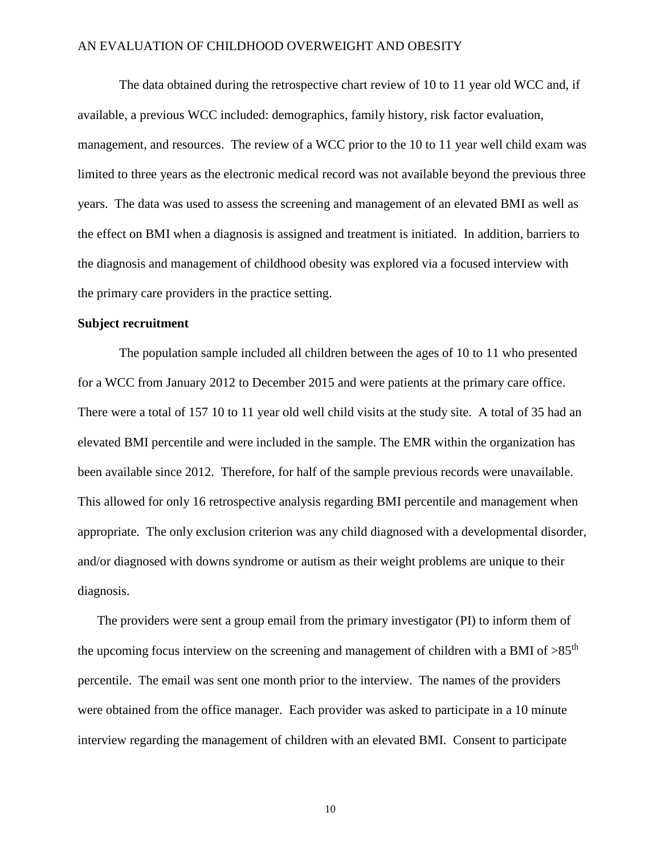The data obtained during the retrospective chart review of 10 to 11 year old WCC and, if available, a previous WCC included: demographics, family history, risk factor evaluation, management, and resources. The review of a WCC prior to the 10 to 11 year well child exam was limited to three years as the electronic medical record was not available beyond the previous three years. The data was used to assess the screening and management of an elevated BMI as well as the effect on BMI when a diagnosis is assigned and treatment is initiated. In addition, barriers to the diagnosis and management of childhood obesity was explored via a focused interview with the primary care providers in the practice setting.

### **Subject recruitment**

The population sample included all children between the ages of 10 to 11 who presented for a WCC from January 2012 to December 2015 and were patients at the primary care office. There were a total of 157 10 to 11 year old well child visits at the study site. A total of 35 had an elevated BMI percentile and were included in the sample. The EMR within the organization has been available since 2012. Therefore, for half of the sample previous records were unavailable. This allowed for only 16 retrospective analysis regarding BMI percentile and management when appropriate. The only exclusion criterion was any child diagnosed with a developmental disorder, and/or diagnosed with downs syndrome or autism as their weight problems are unique to their diagnosis.

The providers were sent a group email from the primary investigator (PI) to inform them of the upcoming focus interview on the screening and management of children with a BMI of  $>85<sup>th</sup>$ percentile. The email was sent one month prior to the interview. The names of the providers were obtained from the office manager. Each provider was asked to participate in a 10 minute interview regarding the management of children with an elevated BMI. Consent to participate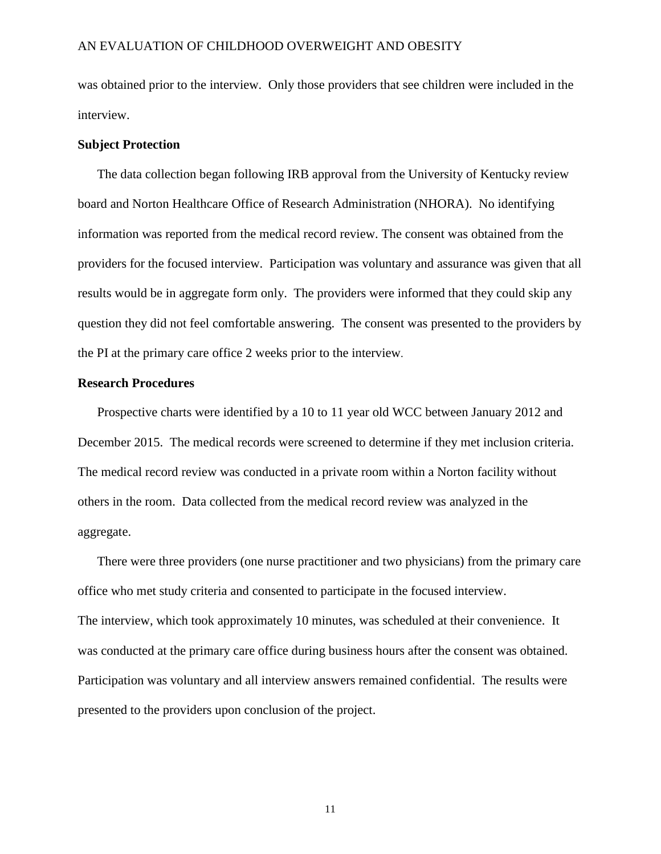was obtained prior to the interview. Only those providers that see children were included in the interview.

#### **Subject Protection**

The data collection began following IRB approval from the University of Kentucky review board and Norton Healthcare Office of Research Administration (NHORA). No identifying information was reported from the medical record review. The consent was obtained from the providers for the focused interview. Participation was voluntary and assurance was given that all results would be in aggregate form only. The providers were informed that they could skip any question they did not feel comfortable answering. The consent was presented to the providers by the PI at the primary care office 2 weeks prior to the interview.

#### **Research Procedures**

Prospective charts were identified by a 10 to 11 year old WCC between January 2012 and December 2015. The medical records were screened to determine if they met inclusion criteria. The medical record review was conducted in a private room within a Norton facility without others in the room. Data collected from the medical record review was analyzed in the aggregate.

There were three providers (one nurse practitioner and two physicians) from the primary care office who met study criteria and consented to participate in the focused interview. The interview, which took approximately 10 minutes, was scheduled at their convenience. It was conducted at the primary care office during business hours after the consent was obtained. Participation was voluntary and all interview answers remained confidential. The results were presented to the providers upon conclusion of the project.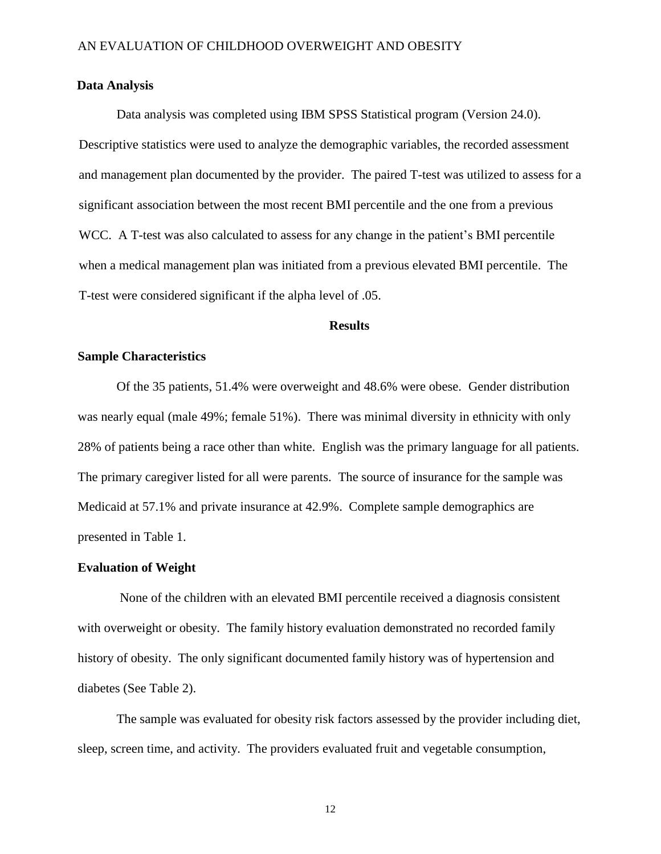### **Data Analysis**

Data analysis was completed using IBM SPSS Statistical program (Version 24.0). Descriptive statistics were used to analyze the demographic variables, the recorded assessment and management plan documented by the provider. The paired T-test was utilized to assess for a significant association between the most recent BMI percentile and the one from a previous WCC. A T-test was also calculated to assess for any change in the patient's BMI percentile when a medical management plan was initiated from a previous elevated BMI percentile. The T-test were considered significant if the alpha level of .05.

#### **Results**

#### **Sample Characteristics**

Of the 35 patients, 51.4% were overweight and 48.6% were obese. Gender distribution was nearly equal (male 49%; female 51%). There was minimal diversity in ethnicity with only 28% of patients being a race other than white. English was the primary language for all patients. The primary caregiver listed for all were parents. The source of insurance for the sample was Medicaid at 57.1% and private insurance at 42.9%. Complete sample demographics are presented in Table 1.

#### **Evaluation of Weight**

None of the children with an elevated BMI percentile received a diagnosis consistent with overweight or obesity. The family history evaluation demonstrated no recorded family history of obesity. The only significant documented family history was of hypertension and diabetes (See Table 2).

The sample was evaluated for obesity risk factors assessed by the provider including diet, sleep, screen time, and activity. The providers evaluated fruit and vegetable consumption,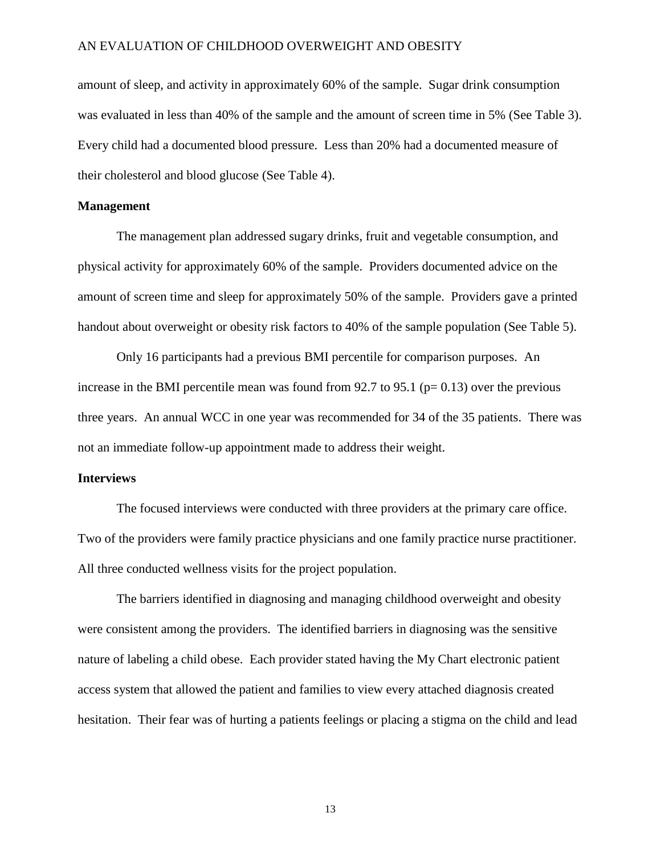amount of sleep, and activity in approximately 60% of the sample. Sugar drink consumption was evaluated in less than 40% of the sample and the amount of screen time in 5% (See Table 3). Every child had a documented blood pressure. Less than 20% had a documented measure of their cholesterol and blood glucose (See Table 4).

#### **Management**

The management plan addressed sugary drinks, fruit and vegetable consumption, and physical activity for approximately 60% of the sample. Providers documented advice on the amount of screen time and sleep for approximately 50% of the sample. Providers gave a printed handout about overweight or obesity risk factors to 40% of the sample population (See Table 5).

Only 16 participants had a previous BMI percentile for comparison purposes. An increase in the BMI percentile mean was found from 92.7 to 95.1 ( $p= 0.13$ ) over the previous three years. An annual WCC in one year was recommended for 34 of the 35 patients. There was not an immediate follow-up appointment made to address their weight.

#### **Interviews**

The focused interviews were conducted with three providers at the primary care office. Two of the providers were family practice physicians and one family practice nurse practitioner. All three conducted wellness visits for the project population.

The barriers identified in diagnosing and managing childhood overweight and obesity were consistent among the providers. The identified barriers in diagnosing was the sensitive nature of labeling a child obese. Each provider stated having the My Chart electronic patient access system that allowed the patient and families to view every attached diagnosis created hesitation. Their fear was of hurting a patients feelings or placing a stigma on the child and lead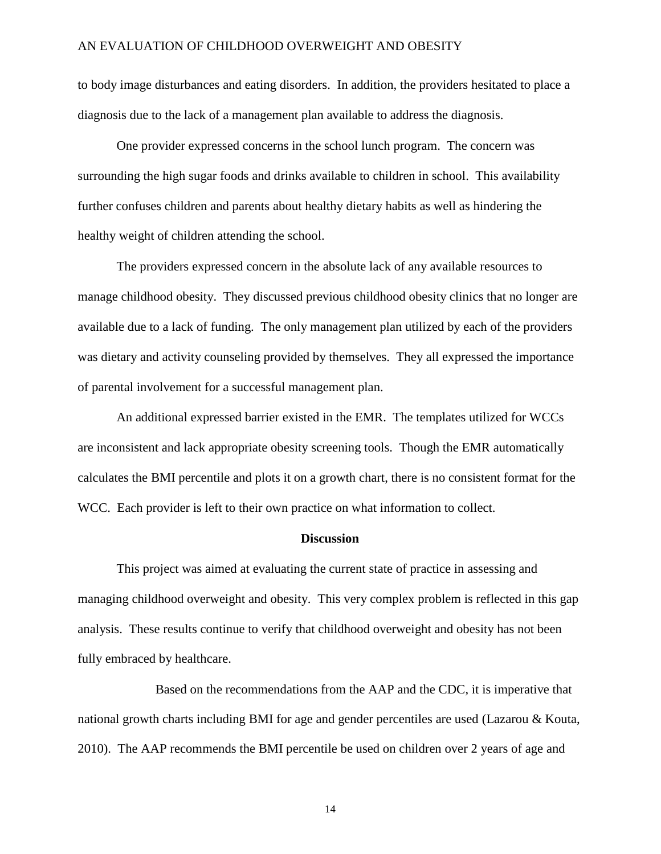to body image disturbances and eating disorders. In addition, the providers hesitated to place a diagnosis due to the lack of a management plan available to address the diagnosis.

One provider expressed concerns in the school lunch program. The concern was surrounding the high sugar foods and drinks available to children in school. This availability further confuses children and parents about healthy dietary habits as well as hindering the healthy weight of children attending the school.

The providers expressed concern in the absolute lack of any available resources to manage childhood obesity. They discussed previous childhood obesity clinics that no longer are available due to a lack of funding. The only management plan utilized by each of the providers was dietary and activity counseling provided by themselves. They all expressed the importance of parental involvement for a successful management plan.

An additional expressed barrier existed in the EMR. The templates utilized for WCCs are inconsistent and lack appropriate obesity screening tools. Though the EMR automatically calculates the BMI percentile and plots it on a growth chart, there is no consistent format for the WCC. Each provider is left to their own practice on what information to collect.

#### **Discussion**

This project was aimed at evaluating the current state of practice in assessing and managing childhood overweight and obesity. This very complex problem is reflected in this gap analysis. These results continue to verify that childhood overweight and obesity has not been fully embraced by healthcare.

Based on the recommendations from the AAP and the CDC, it is imperative that national growth charts including BMI for age and gender percentiles are used (Lazarou & Kouta, 2010). The AAP recommends the BMI percentile be used on children over 2 years of age and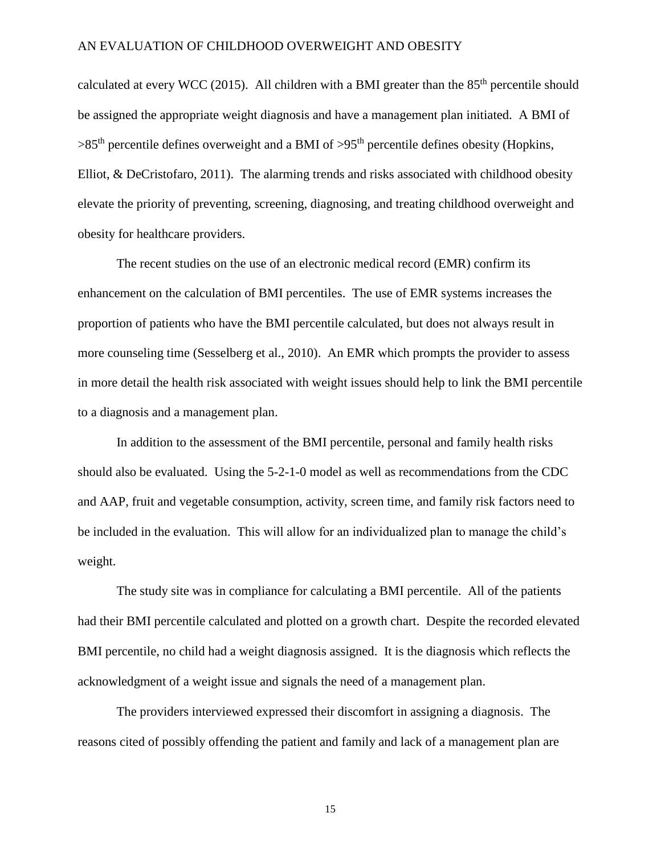calculated at every WCC (2015). All children with a BMI greater than the  $85<sup>th</sup>$  percentile should be assigned the appropriate weight diagnosis and have a management plan initiated. A BMI of  $>85<sup>th</sup>$  percentile defines overweight and a BMI of  $>95<sup>th</sup>$  percentile defines obesity (Hopkins, Elliot, & DeCristofaro, 2011). The alarming trends and risks associated with childhood obesity elevate the priority of preventing, screening, diagnosing, and treating childhood overweight and obesity for healthcare providers.

The recent studies on the use of an electronic medical record (EMR) confirm its enhancement on the calculation of BMI percentiles. The use of EMR systems increases the proportion of patients who have the BMI percentile calculated, but does not always result in more counseling time (Sesselberg et al., 2010). An EMR which prompts the provider to assess in more detail the health risk associated with weight issues should help to link the BMI percentile to a diagnosis and a management plan.

In addition to the assessment of the BMI percentile, personal and family health risks should also be evaluated. Using the 5-2-1-0 model as well as recommendations from the CDC and AAP, fruit and vegetable consumption, activity, screen time, and family risk factors need to be included in the evaluation. This will allow for an individualized plan to manage the child's weight.

The study site was in compliance for calculating a BMI percentile. All of the patients had their BMI percentile calculated and plotted on a growth chart. Despite the recorded elevated BMI percentile, no child had a weight diagnosis assigned. It is the diagnosis which reflects the acknowledgment of a weight issue and signals the need of a management plan.

The providers interviewed expressed their discomfort in assigning a diagnosis. The reasons cited of possibly offending the patient and family and lack of a management plan are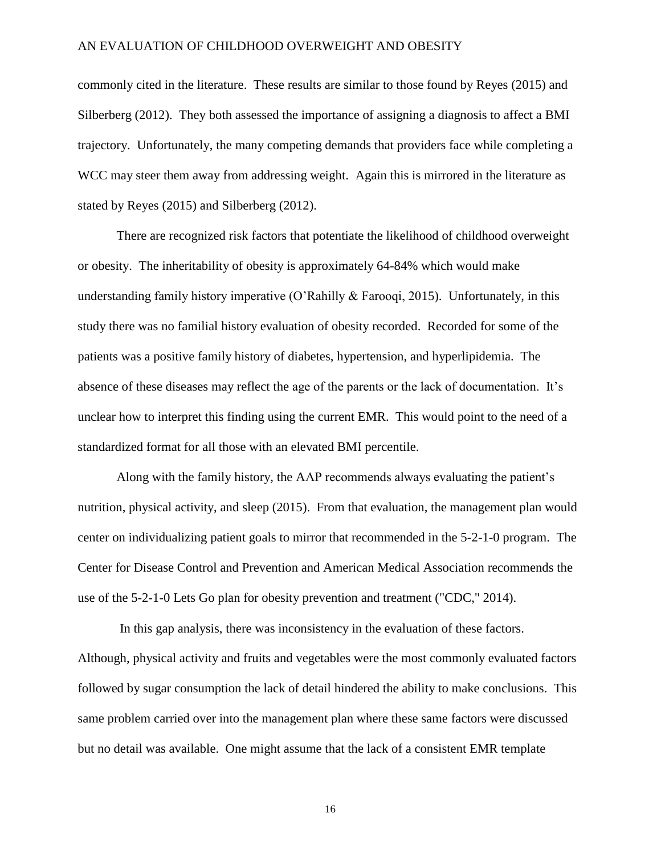commonly cited in the literature. These results are similar to those found by Reyes (2015) and Silberberg (2012). They both assessed the importance of assigning a diagnosis to affect a BMI trajectory. Unfortunately, the many competing demands that providers face while completing a WCC may steer them away from addressing weight. Again this is mirrored in the literature as stated by Reyes (2015) and Silberberg (2012).

There are recognized risk factors that potentiate the likelihood of childhood overweight or obesity. The inheritability of obesity is approximately 64-84% which would make understanding family history imperative (O'Rahilly & Farooqi, 2015). Unfortunately, in this study there was no familial history evaluation of obesity recorded. Recorded for some of the patients was a positive family history of diabetes, hypertension, and hyperlipidemia. The absence of these diseases may reflect the age of the parents or the lack of documentation. It's unclear how to interpret this finding using the current EMR. This would point to the need of a standardized format for all those with an elevated BMI percentile.

Along with the family history, the AAP recommends always evaluating the patient's nutrition, physical activity, and sleep (2015). From that evaluation, the management plan would center on individualizing patient goals to mirror that recommended in the 5-2-1-0 program. The Center for Disease Control and Prevention and American Medical Association recommends the use of the 5-2-1-0 Lets Go plan for obesity prevention and treatment ("CDC," 2014).

In this gap analysis, there was inconsistency in the evaluation of these factors. Although, physical activity and fruits and vegetables were the most commonly evaluated factors followed by sugar consumption the lack of detail hindered the ability to make conclusions. This same problem carried over into the management plan where these same factors were discussed but no detail was available. One might assume that the lack of a consistent EMR template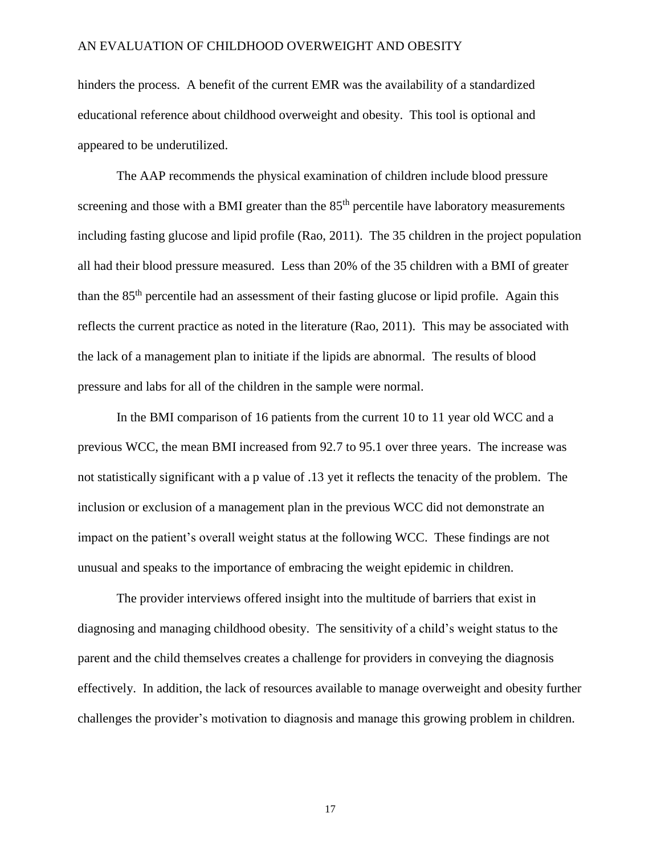hinders the process. A benefit of the current EMR was the availability of a standardized educational reference about childhood overweight and obesity. This tool is optional and appeared to be underutilized.

The AAP recommends the physical examination of children include blood pressure screening and those with a BMI greater than the  $85<sup>th</sup>$  percentile have laboratory measurements including fasting glucose and lipid profile (Rao, 2011). The 35 children in the project population all had their blood pressure measured. Less than 20% of the 35 children with a BMI of greater than the 85th percentile had an assessment of their fasting glucose or lipid profile. Again this reflects the current practice as noted in the literature (Rao, 2011). This may be associated with the lack of a management plan to initiate if the lipids are abnormal. The results of blood pressure and labs for all of the children in the sample were normal.

In the BMI comparison of 16 patients from the current 10 to 11 year old WCC and a previous WCC, the mean BMI increased from 92.7 to 95.1 over three years. The increase was not statistically significant with a p value of .13 yet it reflects the tenacity of the problem. The inclusion or exclusion of a management plan in the previous WCC did not demonstrate an impact on the patient's overall weight status at the following WCC. These findings are not unusual and speaks to the importance of embracing the weight epidemic in children.

The provider interviews offered insight into the multitude of barriers that exist in diagnosing and managing childhood obesity. The sensitivity of a child's weight status to the parent and the child themselves creates a challenge for providers in conveying the diagnosis effectively. In addition, the lack of resources available to manage overweight and obesity further challenges the provider's motivation to diagnosis and manage this growing problem in children.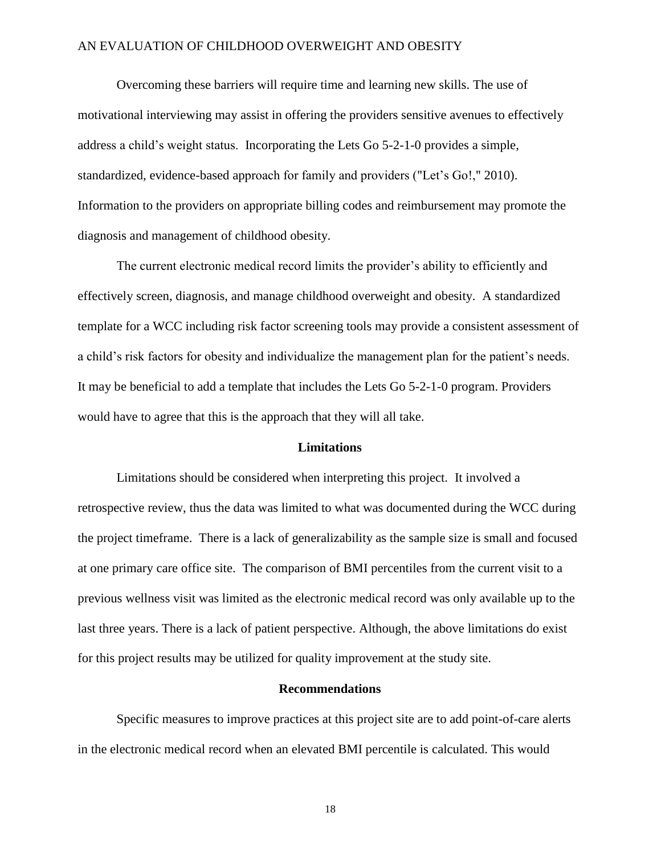Overcoming these barriers will require time and learning new skills. The use of motivational interviewing may assist in offering the providers sensitive avenues to effectively address a child's weight status. Incorporating the Lets Go 5-2-1-0 provides a simple, standardized, evidence-based approach for family and providers ("Let's Go!," 2010). Information to the providers on appropriate billing codes and reimbursement may promote the diagnosis and management of childhood obesity.

The current electronic medical record limits the provider's ability to efficiently and effectively screen, diagnosis, and manage childhood overweight and obesity. A standardized template for a WCC including risk factor screening tools may provide a consistent assessment of a child's risk factors for obesity and individualize the management plan for the patient's needs. It may be beneficial to add a template that includes the Lets Go 5-2-1-0 program. Providers would have to agree that this is the approach that they will all take.

#### **Limitations**

Limitations should be considered when interpreting this project. It involved a retrospective review, thus the data was limited to what was documented during the WCC during the project timeframe. There is a lack of generalizability as the sample size is small and focused at one primary care office site. The comparison of BMI percentiles from the current visit to a previous wellness visit was limited as the electronic medical record was only available up to the last three years. There is a lack of patient perspective. Although, the above limitations do exist for this project results may be utilized for quality improvement at the study site.

#### **Recommendations**

Specific measures to improve practices at this project site are to add point-of-care alerts in the electronic medical record when an elevated BMI percentile is calculated. This would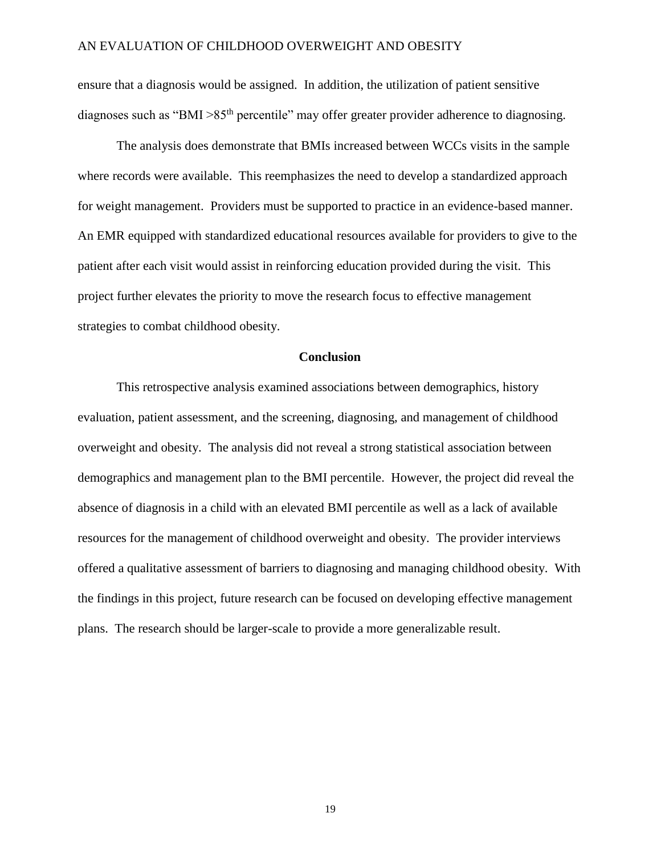ensure that a diagnosis would be assigned. In addition, the utilization of patient sensitive diagnoses such as "BMI  $>85<sup>th</sup>$  percentile" may offer greater provider adherence to diagnosing.

The analysis does demonstrate that BMIs increased between WCCs visits in the sample where records were available. This reemphasizes the need to develop a standardized approach for weight management. Providers must be supported to practice in an evidence-based manner. An EMR equipped with standardized educational resources available for providers to give to the patient after each visit would assist in reinforcing education provided during the visit. This project further elevates the priority to move the research focus to effective management strategies to combat childhood obesity.

#### **Conclusion**

This retrospective analysis examined associations between demographics, history evaluation, patient assessment, and the screening, diagnosing, and management of childhood overweight and obesity. The analysis did not reveal a strong statistical association between demographics and management plan to the BMI percentile. However, the project did reveal the absence of diagnosis in a child with an elevated BMI percentile as well as a lack of available resources for the management of childhood overweight and obesity. The provider interviews offered a qualitative assessment of barriers to diagnosing and managing childhood obesity. With the findings in this project, future research can be focused on developing effective management plans. The research should be larger-scale to provide a more generalizable result.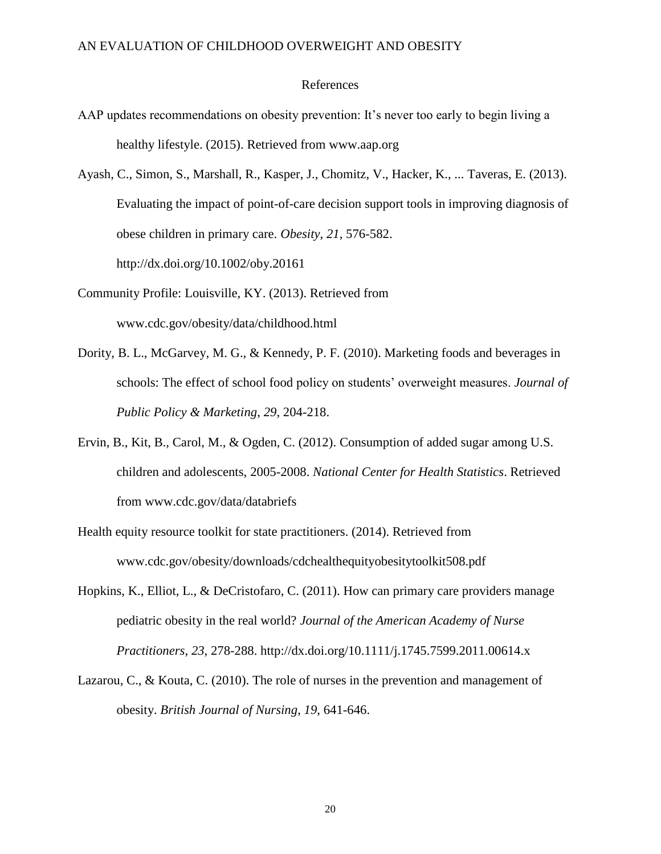#### References

- AAP updates recommendations on obesity prevention: It's never too early to begin living a healthy lifestyle. (2015). Retrieved from www.aap.org
- Ayash, C., Simon, S., Marshall, R., Kasper, J., Chomitz, V., Hacker, K., ... Taveras, E. (2013). Evaluating the impact of point-of-care decision support tools in improving diagnosis of obese children in primary care. *Obesity*, *21*, 576-582. http://dx.doi.org/10.1002/oby.20161
- Community Profile: Louisville, KY. (2013). Retrieved from www.cdc.gov/obesity/data/childhood.html
- Dority, B. L., McGarvey, M. G., & Kennedy, P. F. (2010). Marketing foods and beverages in schools: The effect of school food policy on students' overweight measures. *Journal of Public Policy & Marketing*, *29*, 204-218.
- Ervin, B., Kit, B., Carol, M., & Ogden, C. (2012). Consumption of added sugar among U.S. children and adolescents, 2005-2008. *National Center for Health Statistics*. Retrieved from www.cdc.gov/data/databriefs
- Health equity resource toolkit for state practitioners. (2014). Retrieved from www.cdc.gov/obesity/downloads/cdchealthequityobesitytoolkit508.pdf
- Hopkins, K., Elliot, L., & DeCristofaro, C. (2011). How can primary care providers manage pediatric obesity in the real world? *Journal of the American Academy of Nurse Practitioners*, *23*, 278-288. http://dx.doi.org/10.1111/j.1745.7599.2011.00614.x
- Lazarou, C., & Kouta, C. (2010). The role of nurses in the prevention and management of obesity. *British Journal of Nursing*, *19*, 641-646.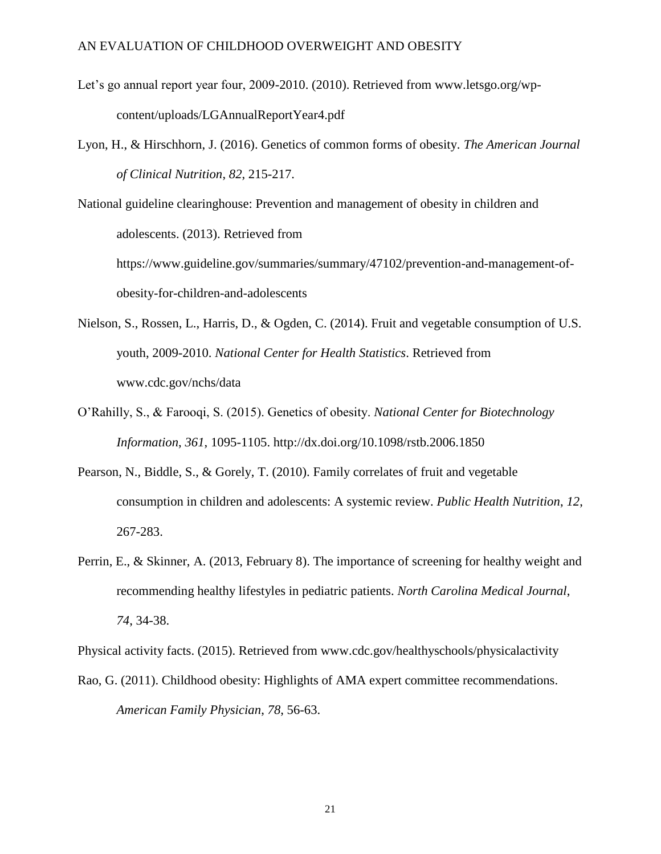- Let's go annual report year four, 2009-2010. (2010). Retrieved from www.letsgo.org/wpcontent/uploads/LGAnnualReportYear4.pdf
- Lyon, H., & Hirschhorn, J. (2016). Genetics of common forms of obesity. *The American Journal of Clinical Nutrition*, *82*, 215-217.

National guideline clearinghouse: Prevention and management of obesity in children and adolescents. (2013). Retrieved from https://www.guideline.gov/summaries/summary/47102/prevention-and-management-of-

obesity-for-children-and-adolescents

- Nielson, S., Rossen, L., Harris, D., & Ogden, C. (2014). Fruit and vegetable consumption of U.S. youth, 2009-2010. *National Center for Health Statistics*. Retrieved from www.cdc.gov/nchs/data
- O'Rahilly, S., & Farooqi, S. (2015). Genetics of obesity. *National Center for Biotechnology Information*, *361*, 1095-1105. http://dx.doi.org/10.1098/rstb.2006.1850
- Pearson, N., Biddle, S., & Gorely, T. (2010). Family correlates of fruit and vegetable consumption in children and adolescents: A systemic review. *Public Health Nutrition*, *12*, 267-283.
- Perrin, E., & Skinner, A. (2013, February 8). The importance of screening for healthy weight and recommending healthy lifestyles in pediatric patients. *North Carolina Medical Journal*, *74*, 34-38.

Physical activity facts. (2015). Retrieved from www.cdc.gov/healthyschools/physicalactivity

Rao, G. (2011). Childhood obesity: Highlights of AMA expert committee recommendations. *American Family Physician*, *78*, 56-63.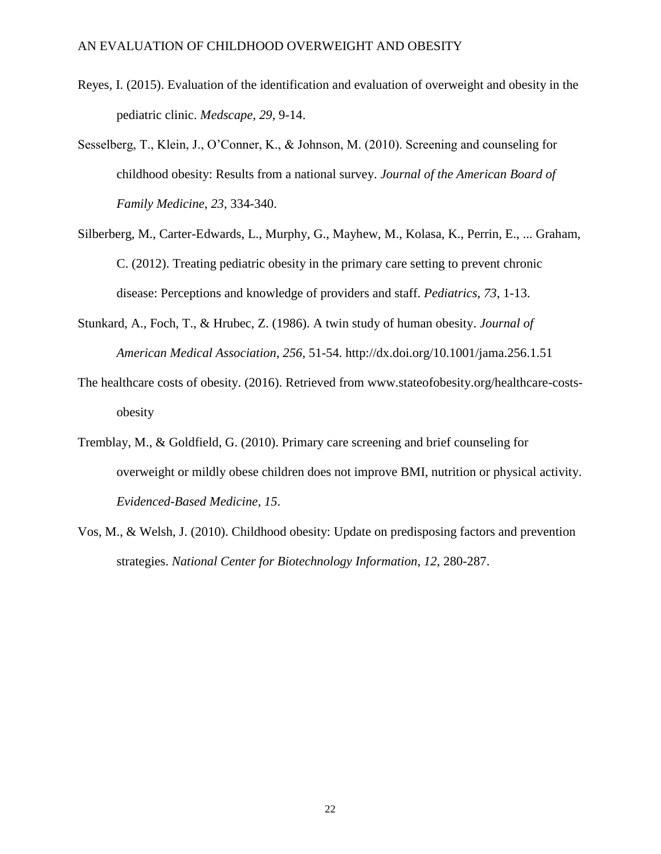- Reyes, I. (2015). Evaluation of the identification and evaluation of overweight and obesity in the pediatric clinic. *Medscape*, *29*, 9-14.
- Sesselberg, T., Klein, J., O'Conner, K., & Johnson, M. (2010). Screening and counseling for childhood obesity: Results from a national survey. *Journal of the American Board of Family Medicine*, *23*, 334-340.
- Silberberg, M., Carter-Edwards, L., Murphy, G., Mayhew, M., Kolasa, K., Perrin, E., ... Graham, C. (2012). Treating pediatric obesity in the primary care setting to prevent chronic disease: Perceptions and knowledge of providers and staff. *Pediatrics*, *73*, 1-13.
- Stunkard, A., Foch, T., & Hrubec, Z. (1986). A twin study of human obesity. *Journal of American Medical Association*, *256*, 51-54. http://dx.doi.org/10.1001/jama.256.1.51
- The healthcare costs of obesity. (2016). Retrieved from www.stateofobesity.org/healthcare-costsobesity
- Tremblay, M., & Goldfield, G. (2010). Primary care screening and brief counseling for overweight or mildly obese children does not improve BMI, nutrition or physical activity. *Evidenced-Based Medicine*, *15*.
- Vos, M., & Welsh, J. (2010). Childhood obesity: Update on predisposing factors and prevention strategies. *National Center for Biotechnology Information*, *12*, 280-287.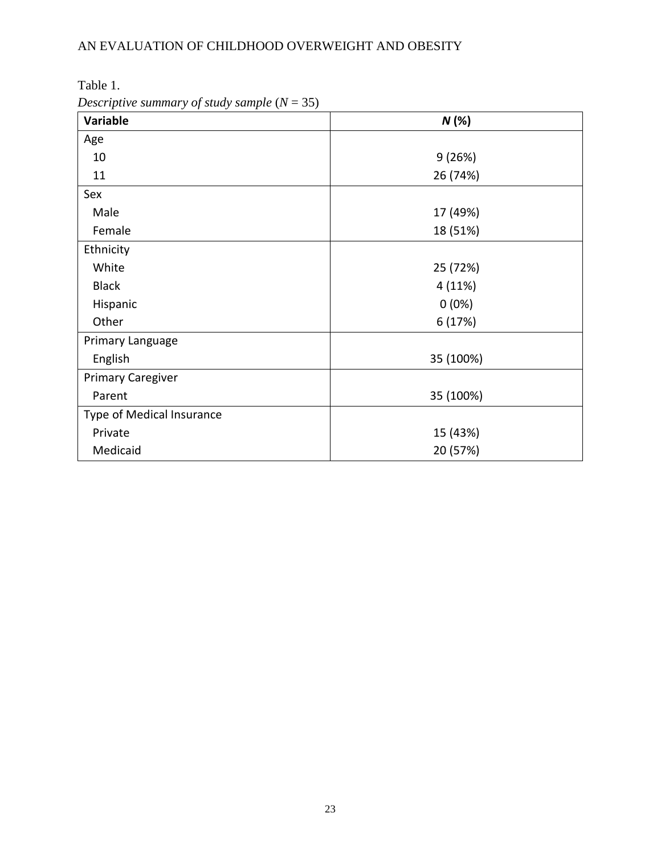| Table 1 |  |
|---------|--|
|---------|--|

*Descriptive summary of study sample* (*N* = 35)

| Variable                  | N(%)      |
|---------------------------|-----------|
| Age                       |           |
| 10                        | 9(26%)    |
| 11                        | 26 (74%)  |
| Sex                       |           |
| Male                      | 17 (49%)  |
| Female                    | 18 (51%)  |
| Ethnicity                 |           |
| White                     | 25 (72%)  |
| <b>Black</b>              | 4(11%)    |
| Hispanic                  | $0(0\%)$  |
| Other                     | 6 (17%)   |
| Primary Language          |           |
| English                   | 35 (100%) |
| <b>Primary Caregiver</b>  |           |
| Parent                    | 35 (100%) |
| Type of Medical Insurance |           |
| Private                   | 15 (43%)  |
| Medicaid                  | 20 (57%)  |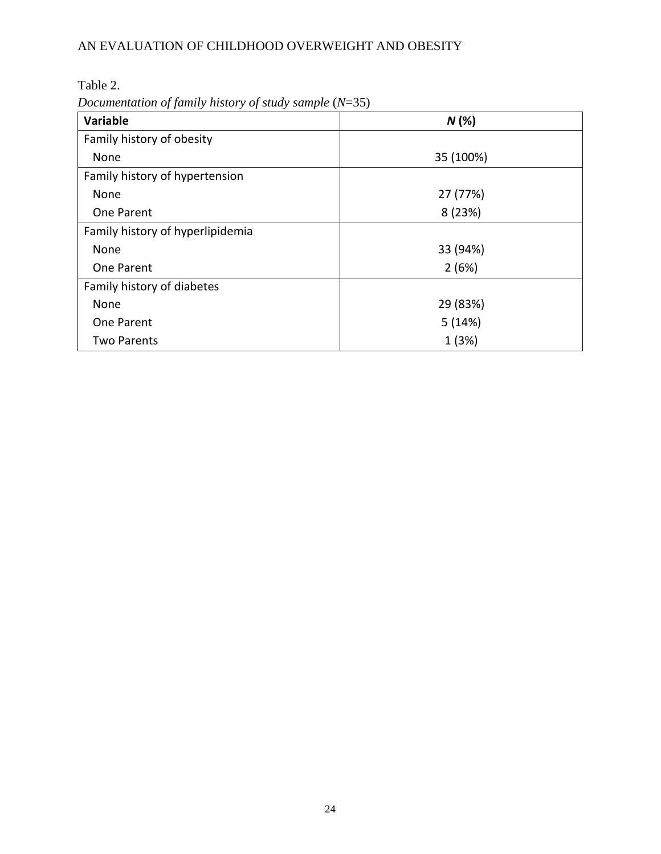Table 2.

*Documentation of family history of study sample* (*N*=35)

| Variable                         | N(%)      |
|----------------------------------|-----------|
| Family history of obesity        |           |
| None                             | 35 (100%) |
| Family history of hypertension   |           |
| None                             | 27 (77%)  |
| One Parent                       | 8(23%)    |
| Family history of hyperlipidemia |           |
| None                             | 33 (94%)  |
| One Parent                       | 2(6%)     |
| Family history of diabetes       |           |
| None                             | 29 (83%)  |
| One Parent                       | 5(14%)    |
| <b>Two Parents</b>               | 1(3%)     |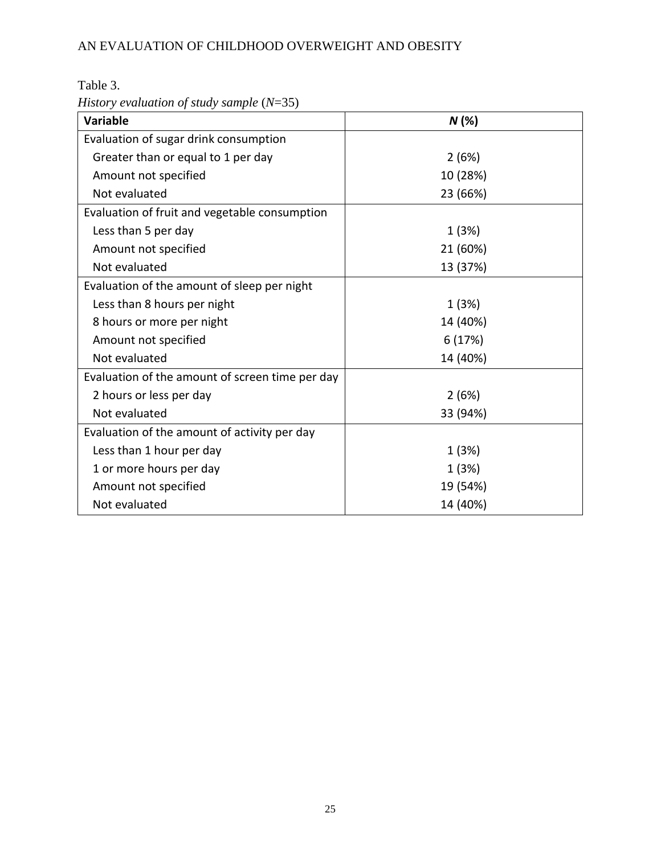*History evaluation of study sample* (*N*=35)

| <b>Variable</b>                                 | N(%)     |
|-------------------------------------------------|----------|
| Evaluation of sugar drink consumption           |          |
| Greater than or equal to 1 per day              | 2(6%)    |
| Amount not specified                            | 10 (28%) |
| Not evaluated                                   | 23 (66%) |
| Evaluation of fruit and vegetable consumption   |          |
| Less than 5 per day                             | 1(3%)    |
| Amount not specified                            | 21 (60%) |
| Not evaluated                                   | 13 (37%) |
| Evaluation of the amount of sleep per night     |          |
| Less than 8 hours per night                     | 1(3%)    |
| 8 hours or more per night                       | 14 (40%) |
| Amount not specified                            | 6(17%)   |
| Not evaluated                                   | 14 (40%) |
| Evaluation of the amount of screen time per day |          |
| 2 hours or less per day                         | 2(6%)    |
| Not evaluated                                   | 33 (94%) |
| Evaluation of the amount of activity per day    |          |
| Less than 1 hour per day                        | 1(3%)    |
| 1 or more hours per day                         | 1(3%)    |
| Amount not specified                            | 19 (54%) |
| Not evaluated                                   | 14 (40%) |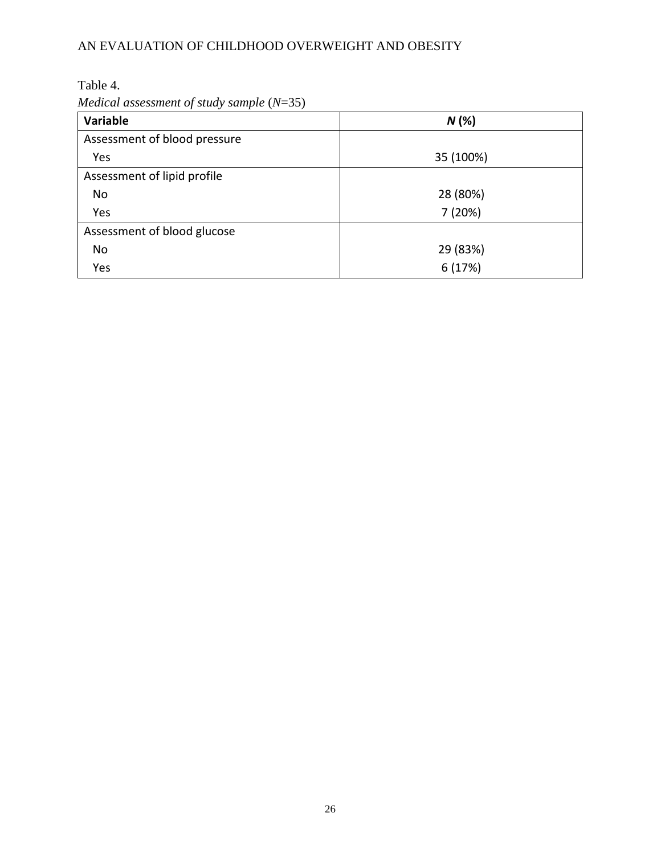Table 4.

*Medical assessment of study sample* (*N*=35)

| Variable                     | N(%)      |
|------------------------------|-----------|
| Assessment of blood pressure |           |
| Yes                          | 35 (100%) |
| Assessment of lipid profile  |           |
| No                           | 28 (80%)  |
| Yes                          | 7(20%)    |
| Assessment of blood glucose  |           |
| No                           | 29 (83%)  |
| Yes                          | 6(17%)    |